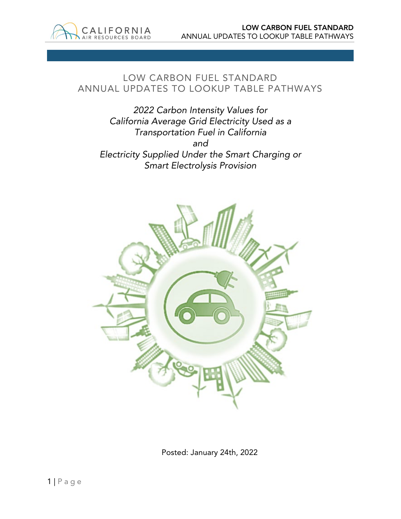

# LOW CARBON FUEL STANDARD ANNUAL UPDATES TO LOOKUP TABLE PATHWAYS

*2022 Carbon Intensity Values for California Average Grid Electricity Used as a Transportation Fuel in California and Electricity Supplied Under the Smart Charging or Smart Electrolysis Provision*



Posted: January 24th, 2022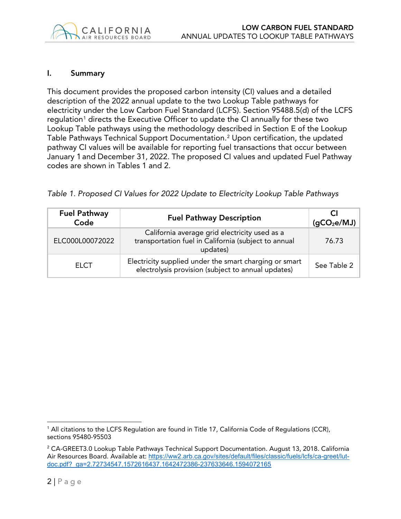#### I. Summary

This document provides the proposed carbon intensity (CI) values and a detailed description of the 2022 annual update to the two Lookup Table pathways for electricity under the Low Carbon Fuel Standard (LCFS). Section 95488.5(d) of the LCFS regulation<sup>[1](#page-1-0)</sup> directs the Executive Officer to update the CI annually for these two Lookup Table pathways using the methodology described in Section E of the Lookup Table Pathways Technical Support Documentation.[2](#page-1-1) Upon certification, the updated pathway CI values will be available for reporting fuel transactions that occur between January 1 and December 31, 2022. The proposed CI values and updated Fuel Pathway codes are shown in Tables 1 and 2.

| Table 1. Proposed CI Values for 2022 Update to Electricity Lookup Table Pathways |
|----------------------------------------------------------------------------------|
|----------------------------------------------------------------------------------|

| <b>Fuel Pathway</b><br>Code | <b>Fuel Pathway Description</b>                                                                                   | (gCO <sub>2</sub> e/MJ) |
|-----------------------------|-------------------------------------------------------------------------------------------------------------------|-------------------------|
| ELC000L00072022             | California average grid electricity used as a<br>transportation fuel in California (subject to annual<br>updates) | 76.73                   |
| <b>ELCT</b>                 | Electricity supplied under the smart charging or smart<br>electrolysis provision (subject to annual updates)      | See Table 2             |

<span id="page-1-0"></span><sup>1</sup> All citations to the LCFS Regulation are found in Title 17, California Code of Regulations (CCR), sections 95480-95503

<span id="page-1-1"></span><sup>2</sup> CA-GREET3.0 Lookup Table Pathways Technical Support Documentation. August 13, 2018. California Air Resources Board. Available at: [https://ww2.arb.ca.gov/sites/default/files/classic/fuels/lcfs/ca-greet/lut](https://ww2.arb.ca.gov/sites/default/files/classic/fuels/lcfs/ca-greet/lut-doc.pdf?_ga=2.72734547.1572616437.1642472386-237633646.1594072165)[doc.pdf?\\_ga=2.72734547.1572616437.1642472386-237633646.1594072165](https://ww2.arb.ca.gov/sites/default/files/classic/fuels/lcfs/ca-greet/lut-doc.pdf?_ga=2.72734547.1572616437.1642472386-237633646.1594072165)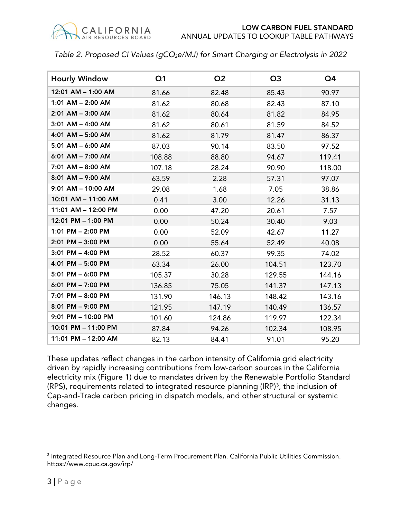|  |  | Table 2. Proposed CI Values (gCO <sub>2</sub> e/MJ) for Smart Charging or Electrolysis in 2022 |
|--|--|------------------------------------------------------------------------------------------------|
|  |  |                                                                                                |

| <b>Hourly Window</b>   | Q <sub>1</sub> | Q <sub>2</sub> | Q <sub>3</sub> | Q4     |
|------------------------|----------------|----------------|----------------|--------|
| 12:01 AM - 1:00 AM     | 81.66          | 82.48          | 85.43          | 90.97  |
| 1:01 AM - 2:00 AM      | 81.62          | 80.68          | 82.43          | 87.10  |
| 2:01 AM - 3:00 AM      | 81.62          | 80.64          | 81.82          | 84.95  |
| $3:01$ AM $-$ 4:00 AM  | 81.62          | 80.61          | 81.59          | 84.52  |
| 4:01 AM - 5:00 AM      | 81.62          | 81.79          | 81.47          | 86.37  |
| 5:01 AM - 6:00 AM      | 87.03          | 90.14          | 83.50          | 97.52  |
| 6:01 AM - 7:00 AM      | 108.88         | 88.80          | 94.67          | 119.41 |
| 7:01 AM - 8:00 AM      | 107.18         | 28.24          | 90.90          | 118.00 |
| 8:01 AM - 9:00 AM      | 63.59          | 2.28           | 57.31          | 97.07  |
| $9:01$ AM $-$ 10:00 AM | 29.08          | 1.68           | 7.05           | 38.86  |
| 10:01 AM - 11:00 AM    | 0.41           | 3.00           | 12.26          | 31.13  |
| 11:01 AM - 12:00 PM    | 0.00           | 47.20          | 20.61          | 7.57   |
| 12:01 PM - 1:00 PM     | 0.00           | 50.24          | 30.40          | 9.03   |
| 1:01 PM - 2:00 PM      | 0.00           | 52.09          | 42.67          | 11.27  |
| 2:01 PM - 3:00 PM      | 0.00           | 55.64          | 52.49          | 40.08  |
| 3:01 PM - 4:00 PM      | 28.52          | 60.37          | 99.35          | 74.02  |
| 4:01 PM - 5:00 PM      | 63.34          | 26.00          | 104.51         | 123.70 |
| 5:01 PM - 6:00 PM      | 105.37         | 30.28          | 129.55         | 144.16 |
| 6:01 PM - 7:00 PM      | 136.85         | 75.05          | 141.37         | 147.13 |
| 7:01 PM - 8:00 PM      | 131.90         | 146.13         | 148.42         | 143.16 |
| $8:01$ PM $-$ 9:00 PM  | 121.95         | 147.19         | 140.49         | 136.57 |
| 9:01 PM - 10:00 PM     | 101.60         | 124.86         | 119.97         | 122.34 |
| 10:01 PM - 11:00 PM    | 87.84          | 94.26          | 102.34         | 108.95 |
| 11:01 PM - 12:00 AM    | 82.13          | 84.41          | 91.01          | 95.20  |

These updates reflect changes in the carbon intensity of California grid electricity driven by rapidly increasing contributions from low-carbon sources in the California electricity mix (Figure 1) due to mandates driven by the Renewable Portfolio Standard (RPS), requirements related to integrated resource planning (IRP)<sup>[3](#page-2-0)</sup>, the inclusion of Cap-and-Trade carbon pricing in dispatch models, and other structural or systemic changes.

<span id="page-2-0"></span><sup>&</sup>lt;sup>3</sup> Integrated Resource Plan and Long-Term Procurement Plan. California Public Utilities Commission. <https://www.cpuc.ca.gov/irp/>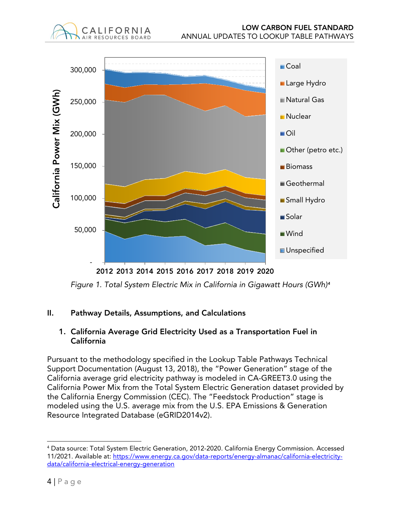

2012 2013 2014 2015 2016 2017 2018 2019 2020

*Figure 1. Total System Electric Mix in California in Gigawatt Hours (GWh)[4](#page-3-0)*

# II. Pathway Details, Assumptions, and Calculations

CALIFORNIA AIR RESOURCES BOARD

### 1. California Average Grid Electricity Used as a Transportation Fuel in California

Pursuant to the methodology specified in the Lookup Table Pathways Technical Support Documentation (August 13, 2018), the "Power Generation" stage of the California average grid electricity pathway is modeled in CA-GREET3.0 using the California Power Mix from the Total System Electric Generation dataset provided by the California Energy Commission (CEC). The "Feedstock Production" stage is modeled using the U.S. average mix from the U.S. EPA Emissions & Generation Resource Integrated Database (eGRID2014v2).

<span id="page-3-0"></span><sup>4</sup> Data source: Total System Electric Generation, 2012-2020. California Energy Commission. Accessed 11/2021. Available at: [https://www.energy.ca.gov/data-reports/energy-almanac/california-electricity](https://www.energy.ca.gov/data-reports/energy-almanac/california-electricity-data/california-electrical-energy-generation)[data/california-electrical-energy-generation](https://www.energy.ca.gov/data-reports/energy-almanac/california-electricity-data/california-electrical-energy-generation)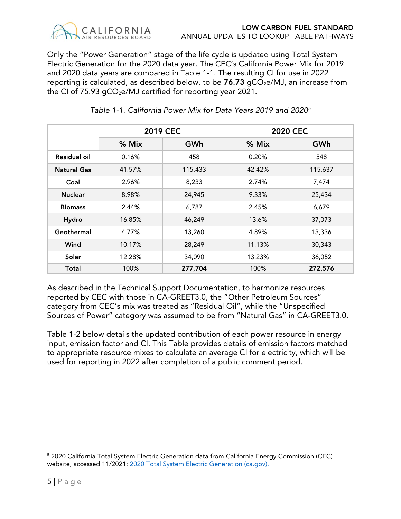

Only the "Power Generation" stage of the life cycle is updated using Total System Electric Generation for the 2020 data year. The CEC's California Power Mix for 2019 and 2020 data years are compared in Table 1-1. The resulting CI for use in 2022 reporting is calculated, as described below, to be  $76.73$  gCO<sub>2</sub>e/MJ, an increase from the CI of  $75.93$  gCO<sub>2</sub>e/MJ certified for reporting year 2021.

|                    | <b>2019 CEC</b> |         | <b>2020 CEC</b> |         |  |
|--------------------|-----------------|---------|-----------------|---------|--|
|                    | $%$ Mix         | GWh     | $%$ Mix         | GWh     |  |
| Residual oil       | 0.16%           | 458     | 0.20%           | 548     |  |
| <b>Natural Gas</b> | 41.57%          | 115,433 | 42.42%          | 115,637 |  |
| Coal               | 2.96%           | 8,233   | 2.74%           | 7,474   |  |
| <b>Nuclear</b>     | 8.98%           | 24,945  | 9.33%           | 25,434  |  |
| <b>Biomass</b>     | 2.44%           | 6,787   | 2.45%           | 6,679   |  |
| Hydro              | 16.85%          | 46,249  | 13.6%           | 37,073  |  |
| Geothermal         | 4.77%           | 13,260  | 4.89%           | 13,336  |  |
| Wind               | 10.17%          | 28,249  | 11.13%          | 30,343  |  |
| Solar              | 12.28%          | 34,090  | 13.23%          | 36,052  |  |
| Total              | 100%            | 277,704 | 100%            | 272,576 |  |

*Table 1-1. California Power Mix for Data Years 2019 and 2020[5](#page-4-0)*

As described in the Technical Support Documentation, to harmonize resources reported by CEC with those in CA-GREET3.0, the "Other Petroleum Sources" category from CEC's mix was treated as "Residual Oil", while the "Unspecified Sources of Power" category was assumed to be from "Natural Gas" in CA-GREET3.0.

Table 1-2 below details the updated contribution of each power resource in energy input, emission factor and CI. This Table provides details of emission factors matched to appropriate resource mixes to calculate an average CI for electricity, which will be used for reporting in 2022 after completion of a public comment period.

<span id="page-4-0"></span><sup>5</sup> 2020 California Total System Electric Generation data from California Energy Commission (CEC) website, accessed 11/2021: [2020 Total System Electric Generation \(ca.gov\).](https://www.energy.ca.gov/data-reports/energy-almanac/california-electricity-data/2020-total-system-electric-generation)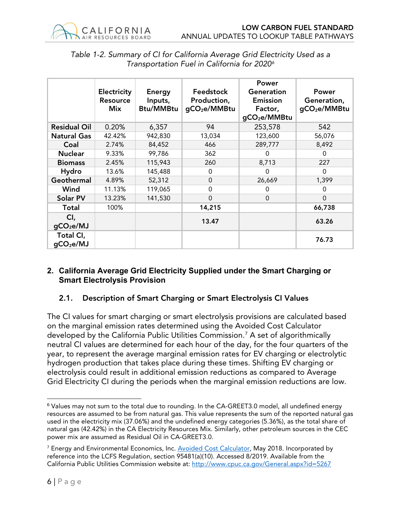

|                                    | Electricity<br><b>Resource</b><br><b>Mix</b> | <b>Energy</b><br>Inputs,<br><b>Btu/MMBtu</b> | Feedstock<br>Production,<br>gCO <sub>2</sub> e/MMBtu | Power<br>Generation<br><b>Emission</b><br>Factor,<br>gCO <sub>2</sub> e/MMBtu | Power<br>Generation,<br>gCO <sub>2</sub> e/MMBtu |
|------------------------------------|----------------------------------------------|----------------------------------------------|------------------------------------------------------|-------------------------------------------------------------------------------|--------------------------------------------------|
| <b>Residual Oil</b>                | 0.20%                                        | 6,357                                        | 94                                                   | 253,578                                                                       | 542                                              |
| <b>Natural Gas</b>                 | 42.42%                                       | 942,830                                      | 13,034                                               | 123,600                                                                       | 56,076                                           |
| Coal                               | 2.74%                                        | 84,452                                       | 466                                                  | 289,777                                                                       | 8,492                                            |
| <b>Nuclear</b>                     | 9.33%                                        | 99,786                                       | 362                                                  | Ω                                                                             | $\Omega$                                         |
| <b>Biomass</b>                     | 2.45%                                        | 115,943                                      | 260                                                  | 8,713                                                                         | 227                                              |
| Hydro                              | 13.6%                                        | 145,488                                      | 0                                                    | $\Omega$                                                                      | $\Omega$                                         |
| Geothermal                         | 4.89%                                        | 52,312                                       | $\Omega$                                             | 26,669                                                                        | 1,399                                            |
| Wind                               | 11.13%                                       | 119,065                                      | $\Omega$                                             | O                                                                             | $\Omega$                                         |
| Solar PV                           | 13.23%                                       | 141,530                                      | $\Omega$                                             | $\Omega$                                                                      | $\Omega$                                         |
| <b>Total</b>                       | 100%                                         |                                              | 14,215                                               |                                                                               | 66,738                                           |
| CI,<br>gCO <sub>2</sub> e/MJ       |                                              |                                              | 13.47                                                |                                                                               | 63.26                                            |
| Total CI,<br>gCO <sub>2</sub> e/MJ |                                              |                                              |                                                      |                                                                               | 76.73                                            |

# *Table 1-2. Summary of CI for California Average Grid Electricity Used as a Transportation Fuel in California for 2020[6](#page-5-0)*

#### **2. California Average Grid Electricity Supplied under the Smart Charging or Smart Electrolysis Provision**

# 2.1. Description of Smart Charging or Smart Electrolysis CI Values

The CI values for smart charging or smart electrolysis provisions are calculated based on the marginal emission rates determined using the Avoided Cost Calculator developed by the California Public Utilities Commission.[7](#page-5-1) A set of algorithmically neutral CI values are determined for each hour of the day, for the four quarters of the year, to represent the average marginal emission rates for EV charging or electrolytic hydrogen production that takes place during these times. Shifting EV charging or electrolysis could result in additional emission reductions as compared to Average Grid Electricity CI during the periods when the marginal emission reductions are low.

<span id="page-5-0"></span> $6$  Values may not sum to the total due to rounding. In the CA-GREET3.0 model, all undefined energy resources are assumed to be from natural gas. This value represents the sum of the reported natural gas used in the electricity mix (37.06%) and the undefined energy categories (5.36%), as the total share of natural gas (42.42%) in the CA Electricity Resources Mix. Similarly, other petroleum sources in the CEC power mix are assumed as Residual Oil in CA-GREET3.0.

<span id="page-5-1"></span><sup>&</sup>lt;sup>7</sup> Energy and Environmental Economics, Inc. [Avoided Cost Calculator,](http://www.cpuc.ca.gov/General.aspx?id=5267) May 2018. Incorporated by reference into the LCFS Regulation, section 95481(a)(10). Accessed 8/2019. Available from the California Public Utilities Commission website at:<http://www.cpuc.ca.gov/General.aspx?id=5267>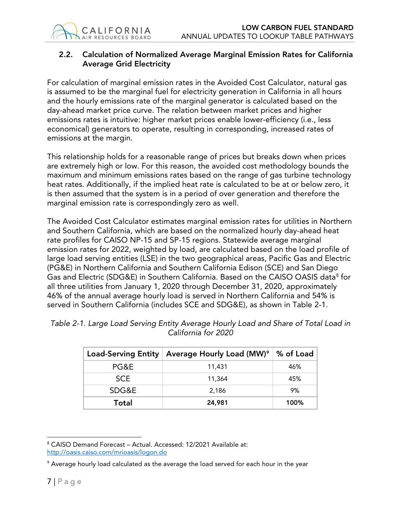

# 2.2. Calculation of Normalized Average Marginal Emission Rates for California Average Grid Electricity

For calculation of marginal emission rates in the Avoided Cost Calculator, natural gas is assumed to be the marginal fuel for electricity generation in California in all hours and the hourly emissions rate of the marginal generator is calculated based on the day-ahead market price curve. The relation between market prices and higher emissions rates is intuitive: higher market prices enable lower-efficiency (i.e., less economical) generators to operate, resulting in corresponding, increased rates of emissions at the margin.

This relationship holds for a reasonable range of prices but breaks down when prices are extremely high or low. For this reason, the avoided cost methodology bounds the maximum and minimum emissions rates based on the range of gas turbine technology heat rates. Additionally, if the implied heat rate is calculated to be at or below zero, it is then assumed that the system is in a period of over generation and therefore the marginal emission rate is correspondingly zero as well.

The Avoided Cost Calculator estimates marginal emission rates for utilities in Northern and Southern California, which are based on the normalized hourly day-ahead heat rate profiles for CAISO NP-15 and SP-15 regions. Statewide average marginal emission rates for 2022, weighted by load, are calculated based on the load profile of large load serving entities (LSE) in the two geographical areas, Pacific Gas and Electric (PG&E) in Northern California and Southern California Edison (SCE) and San Diego Gas and Electric (SDG&E) in Southern California. Based on the CAISO OASIS data<sup>[8](#page-6-0)</sup> for all three utilities from January 1, 2020 through December 31, 2020, approximately 46% of the annual average hourly load is served in Northern California and 54% is served in Southern California (includes SCE and SDG&E), as shown in Table 2-1.

|            | Load-Serving Entity   Average Hourly Load (MW) <sup>9</sup>   % of Load |      |
|------------|-------------------------------------------------------------------------|------|
| PG&E       | 11,431                                                                  | 46%  |
| <b>SCE</b> | 11,364                                                                  | 45%  |
| SDG&E      | 2.186                                                                   | 9%   |
| Total      | 24,981                                                                  | 100% |

| Table 2-1. Large Load Serving Entity Average Hourly Load and Share of Total Load in |  |
|-------------------------------------------------------------------------------------|--|
| California for 2020                                                                 |  |

<span id="page-6-0"></span><sup>8</sup> CAISO Demand Forecast – Actual. Accessed: 12/2021 Available at:

<http://oasis.caiso.com/mrioasis/logon.do>

<span id="page-6-1"></span><sup>&</sup>lt;sup>9</sup> Average hourly load calculated as the average the load served for each hour in the year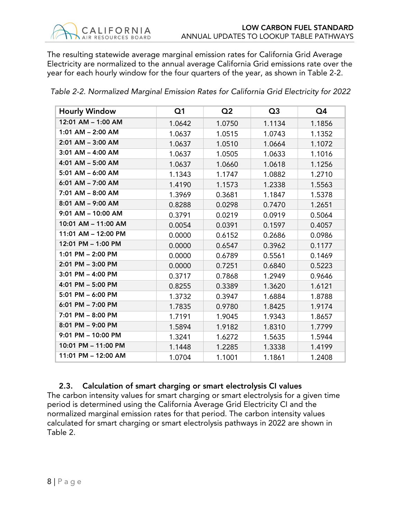The resulting statewide average marginal emission rates for California Grid Average Electricity are normalized to the annual average California Grid emissions rate over the year for each hourly window for the four quarters of the year, as shown in Table 2-2.

| <b>Hourly Window</b>  | Q <sub>1</sub> | Q <sub>2</sub> | Q <sub>3</sub> | Q4     |
|-----------------------|----------------|----------------|----------------|--------|
| 12:01 AM - 1:00 AM    | 1.0642         | 1.0750         | 1.1134         | 1.1856 |
| $1:01$ AM $-$ 2:00 AM | 1.0637         | 1.0515         | 1.0743         | 1.1352 |
| 2:01 AM - 3:00 AM     | 1.0637         | 1.0510         | 1.0664         | 1.1072 |
| $3:01$ AM $-$ 4:00 AM | 1.0637         | 1.0505         | 1.0633         | 1.1016 |
| 4:01 AM - 5:00 AM     | 1.0637         | 1.0660         | 1.0618         | 1.1256 |
| $5:01$ AM $-$ 6:00 AM | 1.1343         | 1.1747         | 1.0882         | 1.2710 |
| 6:01 AM - 7:00 AM     | 1.4190         | 1.1573         | 1.2338         | 1.5563 |
| 7:01 AM - 8:00 AM     | 1.3969         | 0.3681         | 1.1847         | 1.5378 |
| 8:01 AM - 9:00 AM     | 0.8288         | 0.0298         | 0.7470         | 1.2651 |
| 9:01 AM - 10:00 AM    | 0.3791         | 0.0219         | 0.0919         | 0.5064 |
| 10:01 AM - 11:00 AM   | 0.0054         | 0.0391         | 0.1597         | 0.4057 |
| 11:01 AM - 12:00 PM   | 0.0000         | 0.6152         | 0.2686         | 0.0986 |
| 12:01 PM - 1:00 PM    | 0.0000         | 0.6547         | 0.3962         | 0.1177 |
| 1:01 PM - 2:00 PM     | 0.0000         | 0.6789         | 0.5561         | 0.1469 |
| 2:01 PM - 3:00 PM     | 0.0000         | 0.7251         | 0.6840         | 0.5223 |
| $3:01$ PM $-$ 4:00 PM | 0.3717         | 0.7868         | 1.2949         | 0.9646 |
| 4:01 PM - 5:00 PM     | 0.8255         | 0.3389         | 1.3620         | 1.6121 |
| 5:01 PM - 6:00 PM     | 1.3732         | 0.3947         | 1.6884         | 1.8788 |
| 6:01 PM - 7:00 PM     | 1.7835         | 0.9780         | 1.8425         | 1.9174 |
| 7:01 PM - 8:00 PM     | 1.7191         | 1.9045         | 1.9343         | 1.8657 |
| 8:01 PM - 9:00 PM     | 1.5894         | 1.9182         | 1.8310         | 1.7799 |
| 9:01 PM - 10:00 PM    | 1.3241         | 1.6272         | 1.5635         | 1.5944 |
| 10:01 PM - 11:00 PM   | 1.1448         | 1.2285         | 1.3338         | 1.4199 |
| 11:01 PM - 12:00 AM   | 1.0704         | 1.1001         | 1.1861         | 1.2408 |

*Table 2-2. Normalized Marginal Emission Rates for California Grid Electricity for 2022*

# 2.3. Calculation of smart charging or smart electrolysis CI values

The carbon intensity values for smart charging or smart electrolysis for a given time period is determined using the California Average Grid Electricity CI and the normalized marginal emission rates for that period. The carbon intensity values calculated for smart charging or smart electrolysis pathways in 2022 are shown in Table 2.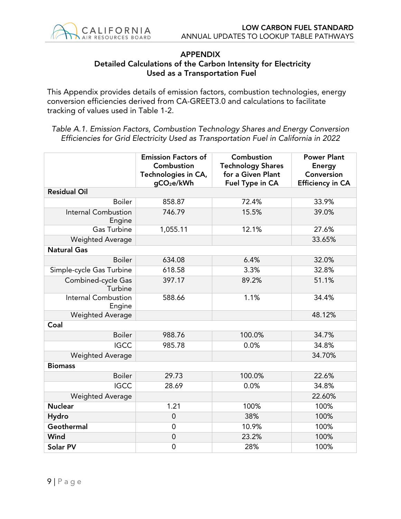

#### APPENDIX Detailed Calculations of the Carbon Intensity for Electricity Used as a Transportation Fuel

This Appendix provides details of emission factors, combustion technologies, energy conversion efficiencies derived from CA-GREET3.0 and calculations to facilitate tracking of values used in Table 1-2.

*Table A.1. Emission Factors, Combustion Technology Shares and Energy Conversion Efficiencies for Grid Electricity Used as Transportation Fuel in California in 2022*

|                                      | <b>Emission Factors of</b><br>Combustion<br>Technologies in CA,<br>gCO <sub>2</sub> e/kWh | Combustion<br><b>Technology Shares</b><br>for a Given Plant<br>Fuel Type in CA | <b>Power Plant</b><br><b>Energy</b><br>Conversion<br><b>Efficiency in CA</b> |
|--------------------------------------|-------------------------------------------------------------------------------------------|--------------------------------------------------------------------------------|------------------------------------------------------------------------------|
| <b>Residual Oil</b>                  |                                                                                           |                                                                                |                                                                              |
| <b>Boiler</b>                        | 858.87                                                                                    | 72.4%                                                                          | 33.9%                                                                        |
| <b>Internal Combustion</b><br>Engine | 746.79                                                                                    | 15.5%                                                                          | 39.0%                                                                        |
| Gas Turbine                          | 1,055.11                                                                                  | 12.1%                                                                          | 27.6%                                                                        |
| <b>Weighted Average</b>              |                                                                                           |                                                                                | 33.65%                                                                       |
| <b>Natural Gas</b>                   |                                                                                           |                                                                                |                                                                              |
| <b>Boiler</b>                        | 634.08                                                                                    | 6.4%                                                                           | 32.0%                                                                        |
| Simple-cycle Gas Turbine             | 618.58                                                                                    | 3.3%                                                                           | 32.8%                                                                        |
| Combined-cycle Gas<br>Turbine        | 397.17                                                                                    | 89.2%                                                                          | 51.1%                                                                        |
| Internal Combustion<br>Engine        | 588.66                                                                                    | 1.1%                                                                           | 34.4%                                                                        |
| <b>Weighted Average</b>              |                                                                                           |                                                                                | 48.12%                                                                       |
| Coal                                 |                                                                                           |                                                                                |                                                                              |
| <b>Boiler</b>                        | 988.76                                                                                    | 100.0%                                                                         | 34.7%                                                                        |
| <b>IGCC</b>                          | 985.78                                                                                    | 0.0%                                                                           | 34.8%                                                                        |
| <b>Weighted Average</b>              |                                                                                           |                                                                                | 34.70%                                                                       |
| <b>Biomass</b>                       |                                                                                           |                                                                                |                                                                              |
| <b>Boiler</b>                        | 29.73                                                                                     | 100.0%                                                                         | 22.6%                                                                        |
| <b>IGCC</b>                          | 28.69                                                                                     | 0.0%                                                                           | 34.8%                                                                        |
| <b>Weighted Average</b>              |                                                                                           |                                                                                | 22.60%                                                                       |
| <b>Nuclear</b>                       | 1.21                                                                                      | 100%                                                                           | 100%                                                                         |
| Hydro                                | $\mathbf 0$                                                                               | 38%                                                                            | 100%                                                                         |
| Geothermal                           | $\mathbf 0$                                                                               | 10.9%                                                                          | 100%                                                                         |
| Wind                                 | $\mathbf 0$                                                                               | 23.2%                                                                          | 100%                                                                         |
| Solar PV                             | $\mathbf 0$                                                                               | 28%                                                                            | 100%                                                                         |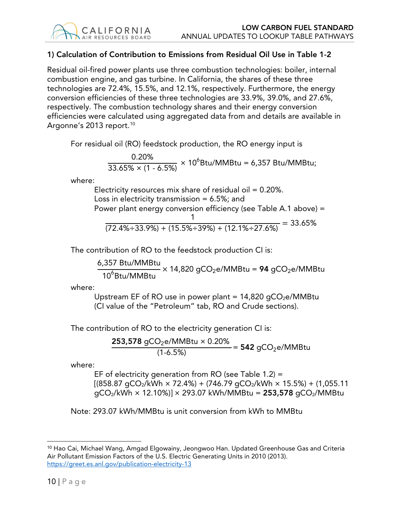# 1) Calculation of Contribution to Emissions from Residual Oil Use in Table 1-2

Residual oil-fired power plants use three combustion technologies: boiler, internal combustion engine, and gas turbine. In California, the shares of these three technologies are 72.4%, 15.5%, and 12.1%, respectively. Furthermore, the energy conversion efficiencies of these three technologies are 33.9%, 39.0%, and 27.6%, respectively. The combustion technology shares and their energy conversion efficiencies were calculated using aggregated data from and details are available in Argonne's 2013 report.<sup>[10](#page-9-0)</sup>

For residual oil (RO) feedstock production, the RO energy input is

<span id="page-9-1"></span>
$$
\frac{0.20\%}{33.65\% \times (1 - 6.5\%)} \times 10^6
$$
Stu/MMBtu = 6,357 Btu/MMBtu;

where:

Electricity resources mix share of residual oil  $= 0.20\%$ . Loss in electricity transmission  $= 6.5\%$ ; and Power plant energy conversion efficiency (see Table A.1 above) = 1

$$
\frac{1}{22.4\% \div 33.9\% + (15.5\% \div 39\%) + (12.1\% \div 27.6\%)} = 33.65\%
$$

The contribution of RO to the feedstock production CI is:

6,357 Btu/MMBtu  $\frac{10^{6} \text{B}}{10^{6} \text{B}} \times 14,820 \text{ g} \text{CO}_{2} \text{e}}$ /MMB $\text{C} \text{O}_{2} \text{e}$ /MMB $\text{C} \text{O}_{2} \text{e}$ 

where:

Upstream EF of RO use in power plant =  $14,820$  qCO<sub>2</sub>e/MMBtu (CI value of the "Petroleum" tab, RO and Crude sections).

The contribution of RO to the electricity generation CI is:

**253,578** gCO<sub>2</sub>e/MMBtu  $\times$  0.20%  $\frac{224 \text{ mm}}{(1-6.5\%)}$  = 542 gCO<sub>2</sub>e/MMBtu

where:

EF of electricity generation from RO (see Table  $1.2$ ) =  $[(858.87 \text{ qCO}_2/\text{kWh} \times 72.4\%) + (746.79 \text{ qCO}_2/\text{kWh} \times 15.5\%) + (1,055.11$  $qCO_2/kWh \times 12.10\%) \times 293.07$  kWh/MMBtu = 253,578  $qCO_2/MM$ Btu

Note: 293.07 kWh/MMBtu is unit conversion from kWh to MMBtu

<span id="page-9-0"></span><sup>&</sup>lt;sup>10</sup> Hao Cai, Michael Wang, Amgad Elgowainy, Jeongwoo Han. Updated Greenhouse Gas and Criteria Air Pollutant Emission Factors of the U.S. Electric Generating Units in 2010 (2013). <https://greet.es.anl.gov/publication-electricity-13>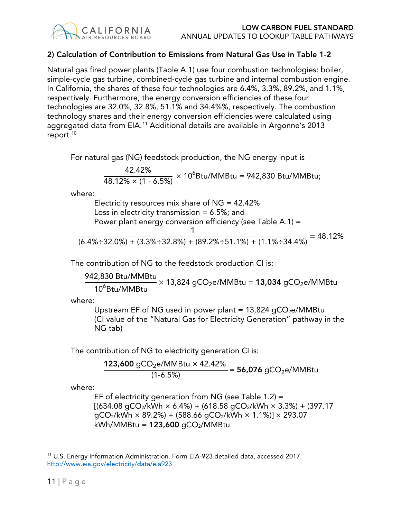# 2) Calculation of Contribution to Emissions from Natural Gas Use in Table 1-2

Natural gas fired power plants (Table A.1) use four combustion technologies: boiler, simple-cycle gas turbine, combined-cycle gas turbine and internal combustion engine. In California, the shares of these four technologies are 6.4%, 3.3%, 89.2%, and 1.1%, respectively. Furthermore, the energy conversion efficiencies of these four technologies are 32.0%, 32.8%, 51.1% and 34.4%%, respectively. The combustion technology shares and their energy conversion efficiencies were calculated using aggregated data from EIA.[11](#page-10-0) Additional details are available in Argonne's 2013 report.<sup>10</sup>

For natural gas (NG) feedstock production, the NG energy input is

$$
\frac{42.42\%}{48.12\% \times (1 - 6.5\%)} \times 10^6
$$
Stu/MMBtu = 942,830 Btu/MMBtu;

where:

Electricity resources mix share of  $NG = 42.42\%$ Loss in electricity transmission  $= 6.5\%$ ; and Power plant energy conversion efficiency (see Table A.1) = 1  $\sqrt{(6.4\% \div 32.0\%)+(3.3\% \div 32.8\%)+(89.2\% \div 51.1\%)+(1.1\% \div 34.4\%)}$  = 48.12%

The contribution of NG to the feedstock production CI is:

942,830 Btu/MMBtu  $\frac{1}{10^6}$ Btu/MMBtu  $\times$  13,824 gCO<sub>2</sub>e/MMBtu = 13,034 gCO<sub>2</sub>e/MMBtu

where:

Upstream EF of NG used in power plant =  $13,824$  gCO<sub>2</sub>e/MMBtu (CI value of the "Natural Gas for Electricity Generation" pathway in the NG tab)

The contribution of NG to electricity generation CI is:

$$
\frac{123,600 \text{ gCO}_2\text{e/MMBtu} \times 42.42\%}{(1-6.5\%)} = 56,076 \text{ gCO}_2\text{e/MMBtu}
$$

where:

EF of electricity generation from NG (see Table 1.2) =  $[(634.08 \text{ qCO}_2/\text{kWh} \times 6.4\%) + (618.58 \text{ qCO}_2/\text{kWh} \times 3.3\%) + (397.17$  $qCO<sub>2</sub>/kWh \times 89.2%) + (588.66 qCO<sub>2</sub>/kWh \times 1.1%) \times 293.07$  $kWh/MMBtu = 123,600$  gCO<sub>2</sub>/MMBtu

<span id="page-10-0"></span><sup>11</sup> U.S. Energy Information Administration. Form EIA-923 detailed data, accessed 2017. <http://www.eia.gov/electricity/data/eia923>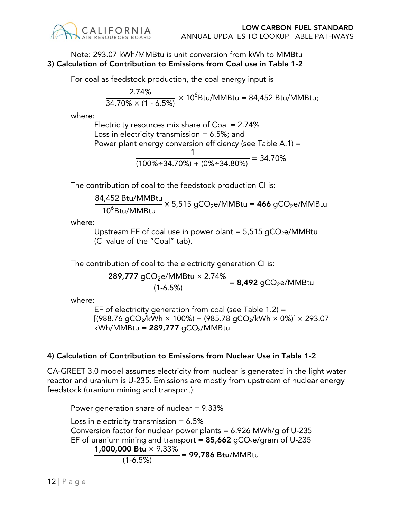# Note: 293.07 kWh/MMBtu is unit conversion from kWh to MMBtu 3) Calculation of Contribution to Emissions from Coal use in Table 1-2

For coal as feedstock production, the coal energy input is

$$
\frac{2.74\%}{34.70\% \times (1 - 6.5\%)} \times 10^6
$$
Stu/MMBtu = 84,452 Btu/MMBtu;

where:

Electricity resources mix share of Coal = 2.74% Loss in electricity transmission  $= 6.5\%$ ; and Power plant energy conversion efficiency (see Table A.1) = 1  $\frac{1}{(100\% \div 34.70\%)+(0\% \div 34.80\%)} = 34.70\%$ 

The contribution of coal to the feedstock production CI is:

$$
\frac{84,452 \text{ Btu/MMBtu}}{10^6 \text{Btu/MMBtu}} \times 5,515 \text{ gCO}_2 \text{e/MMBtu} = 466 \text{ gCO}_2 \text{e/MMBtu}
$$

where:

Upstream EF of coal use in power plant =  $5,515$  gCO<sub>2</sub>e/MMBtu (CI value of the "Coal" tab).

The contribution of coal to the electricity generation CI is:

$$
\frac{289,777 \text{ gCO}_2\text{e/MMBtu} \times 2.74\%}{(1-6.5\%)} = 8,492 \text{ gCO}_2\text{e/MMBtu}
$$

where:

EF of electricity generation from coal (see Table 1.2) =  $[(988.76 \text{ gCO}_2/\text{kWh} \times 100\%)+(985.78 \text{ gCO}_2/\text{kWh} \times 0\%)] \times 293.07$  $kWh/MMBtu = 289,777$  gCO<sub>2</sub>/MMBtu

# 4) Calculation of Contribution to Emissions from Nuclear Use in Table 1-2

CA-GREET 3.0 model assumes electricity from nuclear is generated in the light water reactor and uranium is U-235. Emissions are mostly from upstream of nuclear energy feedstock (uranium mining and transport):

Power generation share of nuclear = 9.33%

Loss in electricity transmission  $= 6.5\%$ Conversion factor for nuclear power plants = 6.926 MWh/g of U-235 EF of uranium mining and transport =  $85,662$  gCO<sub>2</sub>e/gram of U-235 1,000,000 Btu × 9.33%  $\frac{12.2 \times 10^{-14} \text{ N} \cdot \text{C} \cdot \text{C}}{1.6.5\%}$  = 99,786 Btu/MMBtu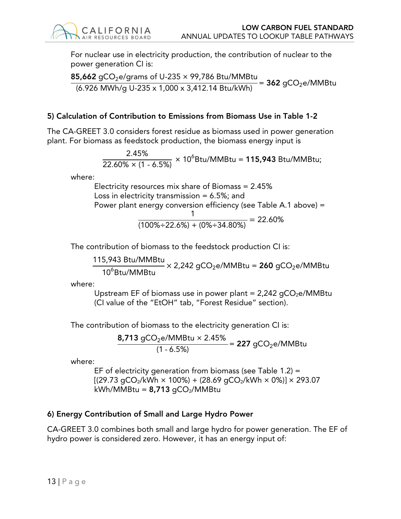For nuclear use in electricity production, the contribution of nuclear to the power generation CI is:

**85,662** gCO $_2$ e/grams of U-235  $\times$  99,786 Btu/MMBtu  $\frac{1}{100}$  =  $\frac{1}{300}$  =  $\frac{1}{200}$  =  $\frac{1}{1000}$  x 3,412.14 Btu/kWh) = 362 gCO<sub>2</sub>e/MMBtu

### 5) Calculation of Contribution to Emissions from Biomass Use in Table 1-2

The CA-GREET 3.0 considers forest residue as biomass used in power generation plant. For biomass as feedstock production, the biomass energy input is

$$
\frac{2.45\%}{22.60\% \times (1 - 6.5\%)} \times 10^6
$$
Stu/MMBtu = 115,943 Btu/MMBtu;

where:

Electricity resources mix share of Biomass = 2.45% Loss in electricity transmission  $= 6.5\%$ ; and Power plant energy conversion efficiency (see Table A.1 above) =

$$
\frac{1}{(100\% \div 22.6\%) + (0\% \div 34.80\%)} = 22.60\%
$$

The contribution of biomass to the feedstock production CI is:

115,943 Btu/MMBtu  $\frac{10^{6} \text{B}}{10^{6} \text{B}}$  MMBtu  $\times$  2,242 gCO<sub>2</sub>e/MMBtu = **260** gCO<sub>2</sub>e/MMBtu

where:

Upstream EF of biomass use in power plant =  $2,242$  gCO<sub>2</sub>e/MMBtu (CI value of the "EtOH" tab, "Forest Residue" section).

The contribution of biomass to the electricity generation CI is:

**8,713** gCO $_2$ e/MMBtu × 2.45%  $\frac{24.1111242}{(1 - 6.5%)}$  = 227 gCO<sub>2</sub>e/MMBtu

where:

EF of electricity generation from biomass (see Table 1.2) =  $[(29.73 \text{ gCO}_2/\text{kWh} \times 100\%)+(28.69 \text{ gCO}_2/\text{kWh} \times 0\%)] \times 293.07$  $kWh/MMBtu = 8,713 qCO<sub>2</sub>/MMBtu$ 

# 6) Energy Contribution of Small and Large Hydro Power

CA-GREET 3.0 combines both small and large hydro for power generation. The EF of hydro power is considered zero. However, it has an energy input of: